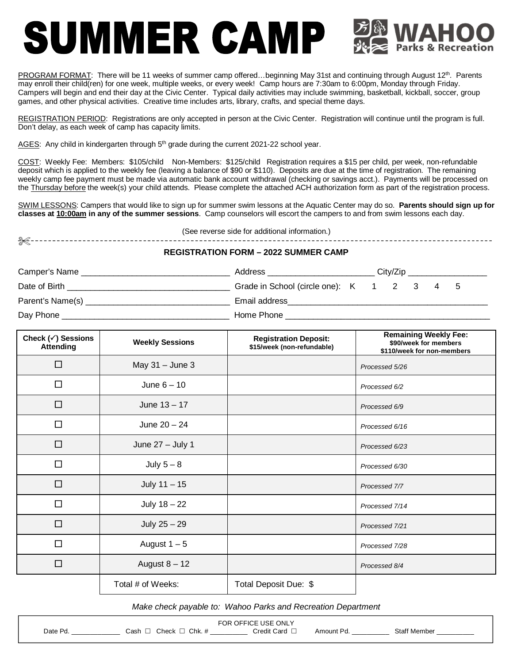## SUMMER CAMP

PROGRAM FORMAT: There will be 11 weeks of summer camp offered...beginning May 31st and continuing through August 12<sup>th</sup>. Parents may enroll their child(ren) for one week, multiple weeks, or every week! Camp hours are 7:30am to 6:00pm, Monday through Friday. Campers will begin and end their day at the Civic Center. Typical daily activities may include swimming, basketball, kickball, soccer, group games, and other physical activities. Creative time includes arts, library, crafts, and special theme days.

REGISTRATION PERIOD: Registrations are only accepted in person at the Civic Center. Registration will continue until the program is full. Don't delay, as each week of camp has capacity limits.

AGES: Any child in kindergarten through  $5<sup>th</sup>$  grade during the current 2021-22 school year.

COST: Weekly Fee:Members: \$105/child Non-Members: \$125/child Registration requires a \$15 per child, per week, non-refundable deposit which is applied to the weekly fee (leaving a balance of \$90 or \$110). Deposits are due at the time of registration. The remaining weekly camp fee payment must be made via automatic bank account withdrawal (checking or savings acct.). Payments will be processed on the Thursday before the week(s) your child attends. Please complete the attached ACH authorization form as part of the registration process.

SWIM LESSONS: Campers that would like to sign up for summer swim lessons at the Aquatic Center may do so. **Parents should sign up for classes at 10:00am in any of the summer sessions**. Camp counselors will escort the campers to and from swim lessons each day.

(See reverse side for additional information.)

## X

## **REGISTRATION FORM – 2022 SUMMER CAMP**

| Camper's Name    | Address                               |  | City/Zip |  |  |    |  |
|------------------|---------------------------------------|--|----------|--|--|----|--|
| Date of Birth    | Grade in School (circle one): K 1 2 3 |  |          |  |  | -5 |  |
| Parent's Name(s) | Email address                         |  |          |  |  |    |  |
| Day Phone        | Home Phone                            |  |          |  |  |    |  |

| Check $(\checkmark)$ Sessions<br><b>Attending</b> | <b>Weekly Sessions</b> | <b>Registration Deposit:</b><br>\$15/week (non-refundable) | <b>Remaining Weekly Fee:</b><br>\$90/week for members<br>\$110/week for non-members |
|---------------------------------------------------|------------------------|------------------------------------------------------------|-------------------------------------------------------------------------------------|
| $\Box$                                            | May $31 -$ June 3      |                                                            | Processed 5/26                                                                      |
| $\Box$                                            | June $6 - 10$          |                                                            | Processed 6/2                                                                       |
| $\Box$                                            | June $13 - 17$         |                                                            | Processed 6/9                                                                       |
| □                                                 | June $20 - 24$         |                                                            | Processed 6/16                                                                      |
| $\Box$                                            | June $27 -$ July 1     |                                                            | Processed 6/23                                                                      |
| $\Box$                                            | July $5 - 8$           |                                                            | Processed 6/30                                                                      |
| $\Box$                                            | July $11 - 15$         |                                                            | Processed 7/7                                                                       |
| $\Box$                                            | July $18 - 22$         |                                                            | Processed 7/14                                                                      |
| $\Box$                                            | July $25 - 29$         |                                                            | Processed 7/21                                                                      |
| $\Box$                                            | August $1-5$           |                                                            | Processed 7/28                                                                      |
| $\Box$                                            | August $8 - 12$        |                                                            | Processed 8/4                                                                       |
|                                                   | Total # of Weeks:      | Total Deposit Due: \$                                      |                                                                                     |

*Make check payable to: Wahoo Parks and Recreation Department*

| <b>OFFICE USE ONLY</b><br>≂OR |      |                                      |  |                                                                     |  |                 |  |
|-------------------------------|------|--------------------------------------|--|---------------------------------------------------------------------|--|-----------------|--|
| Date <sup>7</sup><br>.        | こash | Chk.<br>$.$ non $.$<br>$\sim$ $\sim$ |  | ∵ard<br>;redit i<br>the contract of the contract of the contract of |  | Staf<br>,Member |  |